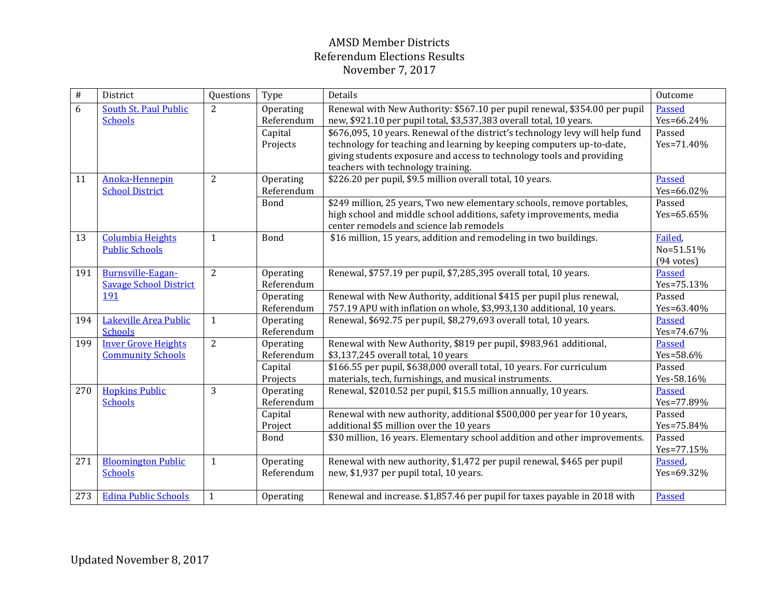| $\#$ | District                      | Questions      | Type        | Details                                                                       | Outcome              |
|------|-------------------------------|----------------|-------------|-------------------------------------------------------------------------------|----------------------|
| 6    | South St. Paul Public         | 2              | Operating   | Renewal with New Authority: \$567.10 per pupil renewal, \$354.00 per pupil    | Passed               |
|      | <b>Schools</b>                |                | Referendum  | new, \$921.10 per pupil total, \$3,537,383 overall total, 10 years.           | Yes=66.24%           |
|      |                               |                | Capital     | \$676,095, 10 years. Renewal of the district's technology levy will help fund | Passed               |
|      |                               |                | Projects    | technology for teaching and learning by keeping computers up-to-date,         | Yes=71.40%           |
|      |                               |                |             | giving students exposure and access to technology tools and providing         |                      |
|      |                               |                |             | teachers with technology training.                                            |                      |
| 11   | Anoka-Hennepin                | 2              | Operating   | \$226.20 per pupil, \$9.5 million overall total, 10 years.                    | <b>Passed</b>        |
|      | <b>School District</b>        |                | Referendum  |                                                                               | Yes=66.02%           |
|      |                               |                | Bond        | \$249 million, 25 years, Two new elementary schools, remove portables,        | Passed               |
|      |                               |                |             | high school and middle school additions, safety improvements, media           | Yes=65.65%           |
|      |                               |                |             | center remodels and science lab remodels                                      |                      |
| 13   | <b>Columbia Heights</b>       | $\mathbf{1}$   | Bond        | \$16 million, 15 years, addition and remodeling in two buildings.             | Failed,              |
|      | <b>Public Schools</b>         |                |             |                                                                               | No=51.51%            |
|      |                               |                |             |                                                                               | $(94 \text{ votes})$ |
| 191  | <b>Burnsville-Eagan-</b>      | $\overline{2}$ | Operating   | Renewal, \$757.19 per pupil, \$7,285,395 overall total, 10 years.             | <b>Passed</b>        |
|      | <b>Savage School District</b> |                | Referendum  |                                                                               | Yes=75.13%           |
|      | 191                           |                | Operating   | Renewal with New Authority, additional \$415 per pupil plus renewal,          | Passed               |
|      |                               |                | Referendum  | 757.19 APU with inflation on whole, \$3,993,130 additional, 10 years.         | Yes=63.40%           |
| 194  | Lakeville Area Public         | $\mathbf{1}$   | Operating   | Renewal, \$692.75 per pupil, \$8,279,693 overall total, 10 years.             | Passed               |
|      | <b>Schools</b>                |                | Referendum  |                                                                               | Yes=74.67%           |
| 199  | <b>Inver Grove Heights</b>    | $\overline{2}$ | Operating   | Renewal with New Authority, \$819 per pupil, \$983,961 additional,            | Passed               |
|      | <b>Community Schools</b>      |                | Referendum  | \$3,137,245 overall total, 10 years                                           | Yes=58.6%            |
|      |                               |                | Capital     | \$166.55 per pupil, \$638,000 overall total, 10 years. For curriculum         | Passed               |
|      |                               |                | Projects    | materials, tech, furnishings, and musical instruments.                        | Yes-58.16%           |
| 270  | <b>Hopkins Public</b>         | 3              | Operating   | Renewal, \$2010.52 per pupil, \$15.5 million annually, 10 years.              | <b>Passed</b>        |
|      | <b>Schools</b>                |                | Referendum  |                                                                               | Yes=77.89%           |
|      |                               |                | Capital     | Renewal with new authority, additional \$500,000 per year for 10 years,       | Passed               |
|      |                               |                | Project     | additional \$5 million over the 10 years                                      | Yes=75.84%           |
|      |                               |                | <b>Bond</b> | \$30 million, 16 years. Elementary school addition and other improvements.    | Passed               |
|      |                               |                |             |                                                                               | Yes=77.15%           |
| 271  | <b>Bloomington Public</b>     | $\mathbf{1}$   | Operating   | Renewal with new authority, \$1,472 per pupil renewal, \$465 per pupil        | Passed,              |
|      | <b>Schools</b>                |                | Referendum  | new, \$1,937 per pupil total, 10 years.                                       | Yes=69.32%           |
|      |                               |                |             |                                                                               |                      |
| 273  | <b>Edina Public Schools</b>   | $\mathbf{1}$   | Operating   | Renewal and increase. \$1,857.46 per pupil for taxes payable in 2018 with     | Passed               |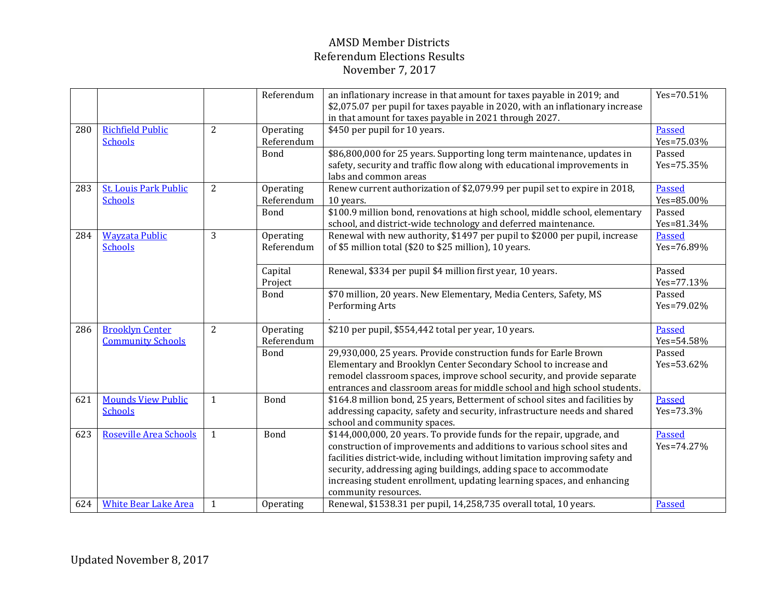|     |                                                    |                | Referendum              | an inflationary increase in that amount for taxes payable in 2019; and<br>\$2,075.07 per pupil for taxes payable in 2020, with an inflationary increase<br>in that amount for taxes payable in 2021 through 2027.                                                                                                                                                                                      | Yes=70.51%                  |
|-----|----------------------------------------------------|----------------|-------------------------|--------------------------------------------------------------------------------------------------------------------------------------------------------------------------------------------------------------------------------------------------------------------------------------------------------------------------------------------------------------------------------------------------------|-----------------------------|
| 280 | <b>Richfield Public</b><br><b>Schools</b>          | 2              | Operating<br>Referendum | \$450 per pupil for 10 years.                                                                                                                                                                                                                                                                                                                                                                          | <b>Passed</b><br>Yes=75.03% |
|     |                                                    |                | Bond                    | \$86,800,000 for 25 years. Supporting long term maintenance, updates in<br>safety, security and traffic flow along with educational improvements in<br>labs and common areas                                                                                                                                                                                                                           | Passed<br>Yes=75.35%        |
| 283 | <b>St. Louis Park Public</b><br><b>Schools</b>     | $\overline{2}$ | Operating<br>Referendum | Renew current authorization of \$2,079.99 per pupil set to expire in 2018,<br>10 years.                                                                                                                                                                                                                                                                                                                | Passed<br>Yes=85.00%        |
|     |                                                    |                | Bond                    | \$100.9 million bond, renovations at high school, middle school, elementary<br>school, and district-wide technology and deferred maintenance.                                                                                                                                                                                                                                                          | Passed<br>Yes=81.34%        |
| 284 | <b>Wayzata Public</b><br><b>Schools</b>            | 3              | Operating<br>Referendum | Renewal with new authority, \$1497 per pupil to \$2000 per pupil, increase<br>of \$5 million total (\$20 to \$25 million), 10 years.                                                                                                                                                                                                                                                                   | Passed<br>Yes=76.89%        |
|     |                                                    |                | Capital<br>Project      | Renewal, \$334 per pupil \$4 million first year, 10 years.                                                                                                                                                                                                                                                                                                                                             | Passed<br>Yes=77.13%        |
|     |                                                    |                | Bond                    | \$70 million, 20 years. New Elementary, Media Centers, Safety, MS<br>Performing Arts                                                                                                                                                                                                                                                                                                                   | Passed<br>Yes=79.02%        |
| 286 | <b>Brooklyn Center</b><br><b>Community Schools</b> | 2              | Operating<br>Referendum | \$210 per pupil, \$554,442 total per year, 10 years.                                                                                                                                                                                                                                                                                                                                                   | <b>Passed</b><br>Yes=54.58% |
|     |                                                    |                | Bond                    | 29,930,000, 25 years. Provide construction funds for Earle Brown<br>Elementary and Brooklyn Center Secondary School to increase and<br>remodel classroom spaces, improve school security, and provide separate<br>entrances and classroom areas for middle school and high school students.                                                                                                            | Passed<br>Yes=53.62%        |
| 621 | <b>Mounds View Public</b><br><b>Schools</b>        | 1              | Bond                    | \$164.8 million bond, 25 years, Betterment of school sites and facilities by<br>addressing capacity, safety and security, infrastructure needs and shared<br>school and community spaces.                                                                                                                                                                                                              | Passed<br>Yes=73.3%         |
| 623 | Roseville Area Schools                             | $\mathbf{1}$   | Bond                    | \$144,000,000, 20 years. To provide funds for the repair, upgrade, and<br>construction of improvements and additions to various school sites and<br>facilities district-wide, including without limitation improving safety and<br>security, addressing aging buildings, adding space to accommodate<br>increasing student enrollment, updating learning spaces, and enhancing<br>community resources. | <b>Passed</b><br>Yes=74.27% |
| 624 | <b>White Bear Lake Area</b>                        | 1              | Operating               | Renewal, \$1538.31 per pupil, 14,258,735 overall total, 10 years.                                                                                                                                                                                                                                                                                                                                      | Passed                      |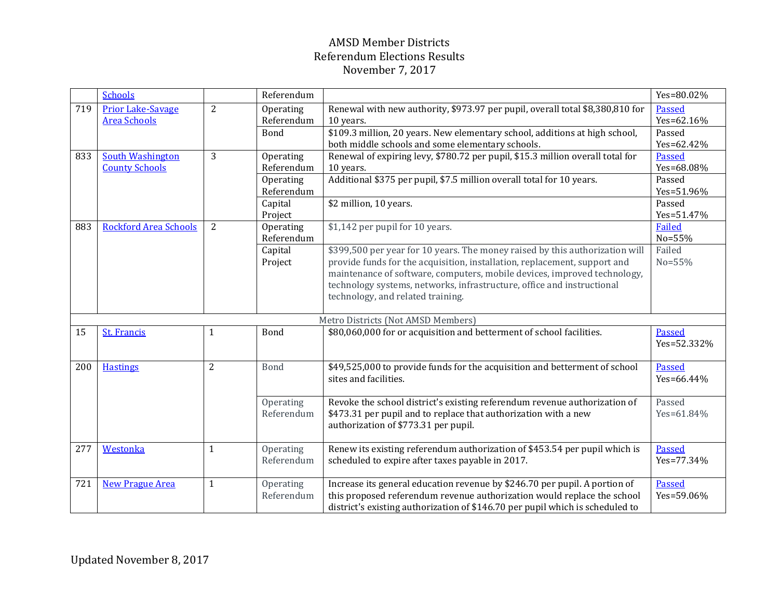|     | <b>Schools</b>                     |                | Referendum |                                                                                | Yes=80.02%    |  |  |
|-----|------------------------------------|----------------|------------|--------------------------------------------------------------------------------|---------------|--|--|
| 719 | <b>Prior Lake-Savage</b>           | $\overline{2}$ | Operating  | Renewal with new authority, \$973.97 per pupil, overall total \$8,380,810 for  | Passed        |  |  |
|     | <b>Area Schools</b>                |                | Referendum | 10 years.                                                                      | Yes=62.16%    |  |  |
|     |                                    |                | Bond       | \$109.3 million, 20 years. New elementary school, additions at high school,    | Passed        |  |  |
|     |                                    |                |            | both middle schools and some elementary schools.                               | Yes=62.42%    |  |  |
| 833 | <b>South Washington</b>            | 3              | Operating  | Renewal of expiring levy, \$780.72 per pupil, \$15.3 million overall total for | Passed        |  |  |
|     | <b>County Schools</b>              |                | Referendum | 10 years.                                                                      | Yes=68.08%    |  |  |
|     |                                    |                | Operating  | Additional \$375 per pupil, \$7.5 million overall total for 10 years.          | Passed        |  |  |
|     |                                    |                | Referendum |                                                                                | Yes=51.96%    |  |  |
|     |                                    |                | Capital    | \$2 million, 10 years.                                                         | Passed        |  |  |
|     |                                    |                | Project    |                                                                                | Yes=51.47%    |  |  |
| 883 | <b>Rockford Area Schools</b>       | $\overline{2}$ | Operating  | \$1,142 per pupil for 10 years.                                                | <b>Failed</b> |  |  |
|     |                                    |                | Referendum |                                                                                | No=55%        |  |  |
|     |                                    |                | Capital    | \$399,500 per year for 10 years. The money raised by this authorization will   | Failed        |  |  |
|     |                                    |                | Project    | provide funds for the acquisition, installation, replacement, support and      | No=55%        |  |  |
|     |                                    |                |            | maintenance of software, computers, mobile devices, improved technology,       |               |  |  |
|     |                                    |                |            | technology systems, networks, infrastructure, office and instructional         |               |  |  |
|     |                                    |                |            | technology, and related training.                                              |               |  |  |
|     |                                    |                |            |                                                                                |               |  |  |
|     | Metro Districts (Not AMSD Members) |                |            |                                                                                |               |  |  |
| 15  | <b>St. Francis</b>                 | $\mathbf{1}$   | Bond       | \$80,060,000 for or acquisition and betterment of school facilities.           | Passed        |  |  |
|     |                                    |                |            |                                                                                | Yes=52.332%   |  |  |
|     |                                    |                |            |                                                                                |               |  |  |
| 200 | <b>Hastings</b>                    | $\overline{2}$ | Bond       | \$49,525,000 to provide funds for the acquisition and betterment of school     | <b>Passed</b> |  |  |
|     |                                    |                |            | sites and facilities.                                                          | Yes=66.44%    |  |  |
|     |                                    |                |            |                                                                                |               |  |  |
|     |                                    |                | Operating  | Revoke the school district's existing referendum revenue authorization of      | Passed        |  |  |
|     |                                    |                | Referendum | \$473.31 per pupil and to replace that authorization with a new                | Yes=61.84%    |  |  |
|     |                                    |                |            | authorization of \$773.31 per pupil.                                           |               |  |  |
|     |                                    |                |            |                                                                                |               |  |  |
| 277 | Westonka                           | $\mathbf{1}$   | Operating  | Renew its existing referendum authorization of \$453.54 per pupil which is     | <b>Passed</b> |  |  |
|     |                                    |                | Referendum | scheduled to expire after taxes payable in 2017.                               | Yes=77.34%    |  |  |
|     |                                    |                |            |                                                                                |               |  |  |
| 721 | <b>New Prague Area</b>             | $\mathbf{1}$   | Operating  | Increase its general education revenue by \$246.70 per pupil. A portion of     | Passed        |  |  |
|     |                                    |                | Referendum | this proposed referendum revenue authorization would replace the school        | Yes=59.06%    |  |  |
|     |                                    |                |            | district's existing authorization of \$146.70 per pupil which is scheduled to  |               |  |  |